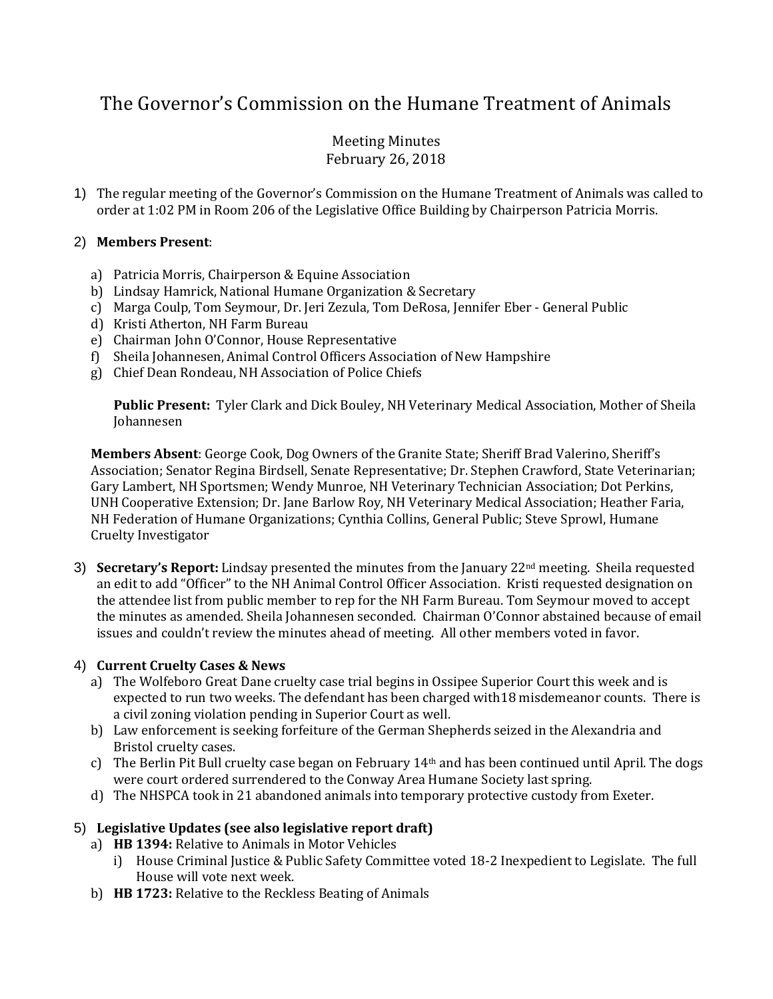# The Governor's Commission on the Humane Treatment of Animals

## Meeting Minutes February 26, 2018

1) The regular meeting of the Governor's Commission on the Humane Treatment of Animals was called to order at 1:02 PM in Room 206 of the Legislative Office Building by Chairperson Patricia Morris.

## 2) **Members Present**:

- a) Patricia Morris, Chairperson & Equine Association
- b) Lindsay Hamrick, National Humane Organization & Secretary
- c) Marga Coulp, Tom Seymour, Dr. Jeri Zezula, Tom DeRosa, Jennifer Eber General Public
- d) Kristi Atherton, NH Farm Bureau
- e) Chairman John O'Connor, House Representative
- f) Sheila Johannesen, Animal Control Officers Association of New Hampshire
- g) Chief Dean Rondeau, NH Association of Police Chiefs

**Public Present:** Tyler Clark and Dick Bouley, NH Veterinary Medical Association, Mother of Sheila Johannesen

**Members Absent**: George Cook, Dog Owners of the Granite State; Sheriff Brad Valerino, Sheriff's Association; Senator Regina Birdsell, Senate Representative; Dr. Stephen Crawford, State Veterinarian; Gary Lambert, NH Sportsmen; Wendy Munroe, NH Veterinary Technician Association; Dot Perkins, UNH Cooperative Extension; Dr. Jane Barlow Roy, NH Veterinary Medical Association; Heather Faria, NH Federation of Humane Organizations; Cynthia Collins, General Public; Steve Sprowl, Humane Cruelty Investigator

3) **Secretary's Report:** Lindsay presented the minutes from the January 22<sup>nd</sup> meeting. Sheila requested an edit to add "Officer" to the NH Animal Control Officer Association. Kristi requested designation on the attendee list from public member to rep for the NH Farm Bureau. Tom Seymour moved to accept the minutes as amended. Sheila Johannesen seconded. Chairman O'Connor abstained because of email issues and couldn't review the minutes ahead of meeting. All other members voted in favor.

## 4) **Current Cruelty Cases & News**

- a) The Wolfeboro Great Dane cruelty case trial begins in Ossipee Superior Court this week and is expected to run two weeks. The defendant has been charged with18 misdemeanor counts. There is a civil zoning violation pending in Superior Court as well.
- b) Law enforcement is seeking forfeiture of the German Shepherds seized in the Alexandria and Bristol cruelty cases.
- c) The Berlin Pit Bull cruelty case began on February  $14<sup>th</sup>$  and has been continued until April. The dogs were court ordered surrendered to the Conway Area Humane Society last spring.
- d) The NHSPCA took in 21 abandoned animals into temporary protective custody from Exeter.

## 5) **Legislative Updates (see also legislative report draft)**

- a) **HB 1394:** Relative to Animals in Motor Vehicles
	- i) House Criminal Justice & Public Safety Committee voted 18-2 Inexpedient to Legislate. The full House will vote next week.
- b) **HB 1723:** Relative to the Reckless Beating of Animals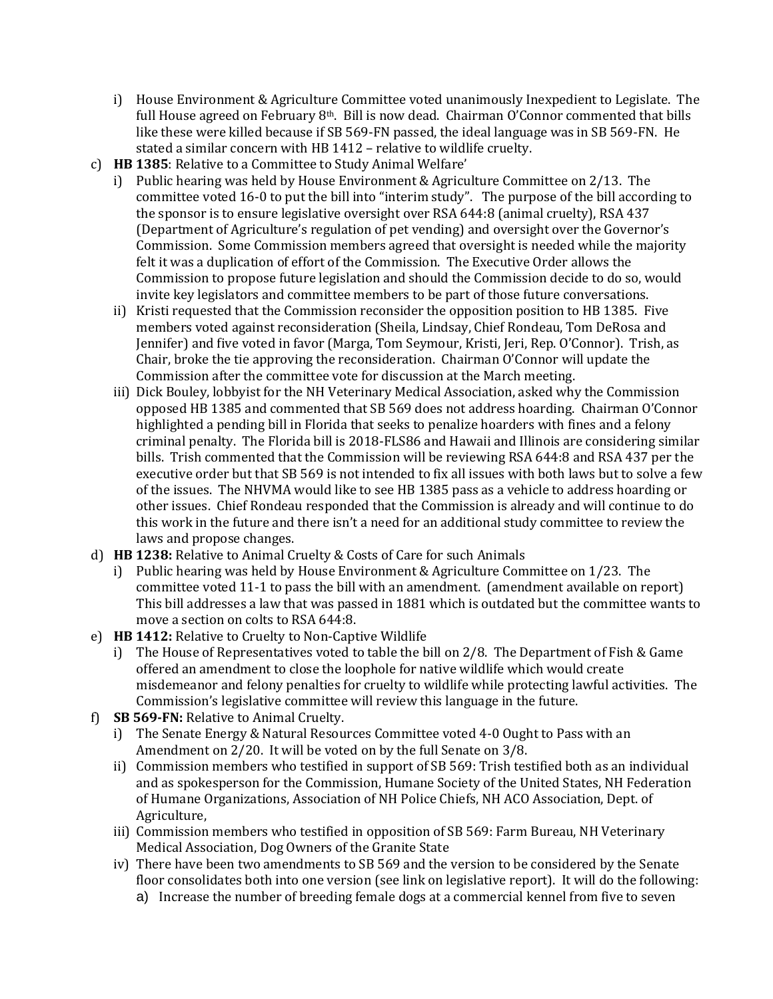- i) House Environment & Agriculture Committee voted unanimously Inexpedient to Legislate. The full House agreed on February  $8<sup>th</sup>$ . Bill is now dead. Chairman O'Connor commented that bills like these were killed because if SB 569-FN passed, the ideal language was in SB 569-FN. He stated a similar concern with HB 1412 – relative to wildlife cruelty.
- c) **HB 1385**: Relative to a Committee to Study Animal Welfare'
	- i) Public hearing was held by House Environment & Agriculture Committee on 2/13. The committee voted 16-0 to put the bill into "interim study". The purpose of the bill according to the sponsor is to ensure legislative oversight over RSA 644:8 (animal cruelty), RSA 437 (Department of Agriculture's regulation of pet vending) and oversight over the Governor's Commission. Some Commission members agreed that oversight is needed while the majority felt it was a duplication of effort of the Commission. The Executive Order allows the Commission to propose future legislation and should the Commission decide to do so, would invite key legislators and committee members to be part of those future conversations.
	- ii) Kristi requested that the Commission reconsider the opposition position to HB 1385. Five members voted against reconsideration (Sheila, Lindsay, Chief Rondeau, Tom DeRosa and Jennifer) and five voted in favor (Marga, Tom Seymour, Kristi, Jeri, Rep. O'Connor). Trish, as Chair, broke the tie approving the reconsideration. Chairman O'Connor will update the Commission after the committee vote for discussion at the March meeting.
	- iii) Dick Bouley, lobbyist for the NH Veterinary Medical Association, asked why the Commission opposed HB 1385 and commented that SB 569 does not address hoarding. Chairman O'Connor highlighted a pending bill in Florida that seeks to penalize hoarders with fines and a felony criminal penalty. The Florida bill is 2018-FLS86 and Hawaii and Illinois are considering similar bills. Trish commented that the Commission will be reviewing RSA 644:8 and RSA 437 per the executive order but that SB 569 is not intended to fix all issues with both laws but to solve a few of the issues. The NHVMA would like to see HB 1385 pass as a vehicle to address hoarding or other issues. Chief Rondeau responded that the Commission is already and will continue to do this work in the future and there isn't a need for an additional study committee to review the laws and propose changes.
- d) **HB 1238:** Relative to Animal Cruelty & Costs of Care for such Animals
	- i) Public hearing was held by House Environment & Agriculture Committee on 1/23. The committee voted 11-1 to pass the bill with an amendment. (amendment available on report) This bill addresses a law that was passed in 1881 which is outdated but the committee wants to move a section on colts to RSA 644:8.
- e) **HB 1412:** Relative to Cruelty to Non-Captive Wildlife
	- i) The House of Representatives voted to table the bill on  $2/8$ . The Department of Fish & Game offered an amendment to close the loophole for native wildlife which would create misdemeanor and felony penalties for cruelty to wildlife while protecting lawful activities. The Commission's legislative committee will review this language in the future.
- f) **SB 569-FN:** Relative to Animal Cruelty.
	- i) The Senate Energy & Natural Resources Committee voted 4-0 Ought to Pass with an Amendment on 2/20. It will be voted on by the full Senate on 3/8.
	- ii) Commission members who testified in support of SB 569: Trish testified both as an individual and as spokesperson for the Commission, Humane Society of the United States, NH Federation of Humane Organizations, Association of NH Police Chiefs, NH ACO Association, Dept. of Agriculture,
	- iii) Commission members who testified in opposition of SB 569: Farm Bureau, NH Veterinary Medical Association, Dog Owners of the Granite State
	- iv) There have been two amendments to SB 569 and the version to be considered by the Senate floor consolidates both into one version (see link on legislative report). It will do the following:
		- a) Increase the number of breeding female dogs at a commercial kennel from five to seven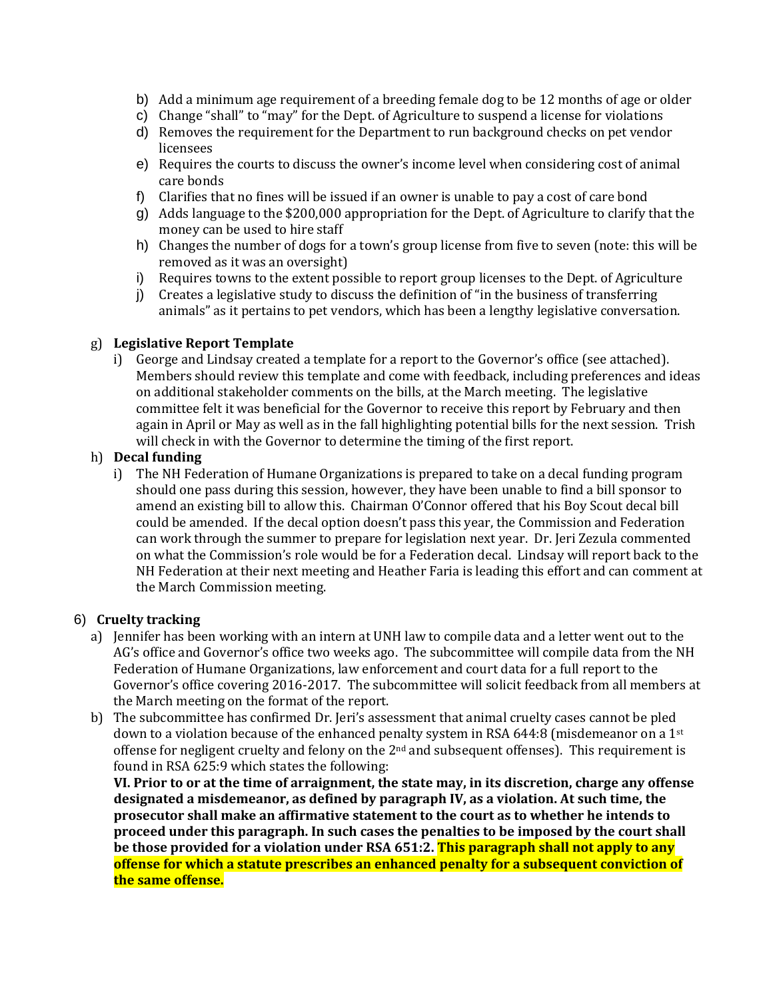- b) Add a minimum age requirement of a breeding female dog to be 12 months of age or older
- c) Change "shall" to "may" for the Dept. of Agriculture to suspend a license for violations
- d) Removes the requirement for the Department to run background checks on pet vendor licensees
- e) Requires the courts to discuss the owner's income level when considering cost of animal care bonds
- f) Clarifies that no fines will be issued if an owner is unable to pay a cost of care bond
- g) Adds language to the \$200,000 appropriation for the Dept. of Agriculture to clarify that the money can be used to hire staff
- h) Changes the number of dogs for a town's group license from five to seven (note: this will be removed as it was an oversight)
- i) Requires towns to the extent possible to report group licenses to the Dept. of Agriculture
- j) Creates a legislative study to discuss the definition of "in the business of transferring animals" as it pertains to pet vendors, which has been a lengthy legislative conversation.

### g) **Legislative Report Template**

i) George and Lindsay created a template for a report to the Governor's office (see attached). Members should review this template and come with feedback, including preferences and ideas on additional stakeholder comments on the bills, at the March meeting. The legislative committee felt it was beneficial for the Governor to receive this report by February and then again in April or May as well as in the fall highlighting potential bills for the next session. Trish will check in with the Governor to determine the timing of the first report.

### h) **Decal funding**

i) The NH Federation of Humane Organizations is prepared to take on a decal funding program should one pass during this session, however, they have been unable to find a bill sponsor to amend an existing bill to allow this. Chairman O'Connor offered that his Boy Scout decal bill could be amended. If the decal option doesn't pass this year, the Commission and Federation can work through the summer to prepare for legislation next year. Dr. Jeri Zezula commented on what the Commission's role would be for a Federation decal. Lindsay will report back to the NH Federation at their next meeting and Heather Faria is leading this effort and can comment at the March Commission meeting.

### 6) **Cruelty tracking**

- a) Jennifer has been working with an intern at UNH law to compile data and a letter went out to the AG's office and Governor's office two weeks ago. The subcommittee will compile data from the NH Federation of Humane Organizations, law enforcement and court data for a full report to the Governor's office covering 2016-2017. The subcommittee will solicit feedback from all members at the March meeting on the format of the report.
- b) The subcommittee has confirmed Dr. Jeri's assessment that animal cruelty cases cannot be pled down to a violation because of the enhanced penalty system in RSA 644:8 (misdemeanor on a 1st offense for negligent cruelty and felony on the  $2<sup>nd</sup>$  and subsequent offenses). This requirement is found in RSA 625:9 which states the following:

**VI. Prior to or at the time of arraignment, the state may, in its discretion, charge any offense designated a misdemeanor, as defined by paragraph IV, as a violation. At such time, the prosecutor shall make an affirmative statement to the court as to whether he intends to proceed under this paragraph. In such cases the penalties to be imposed by the court shall be those provided for a violation under RSA 651:2. This paragraph shall not apply to any offense for which a statute prescribes an enhanced penalty for a subsequent conviction of the same offense.**